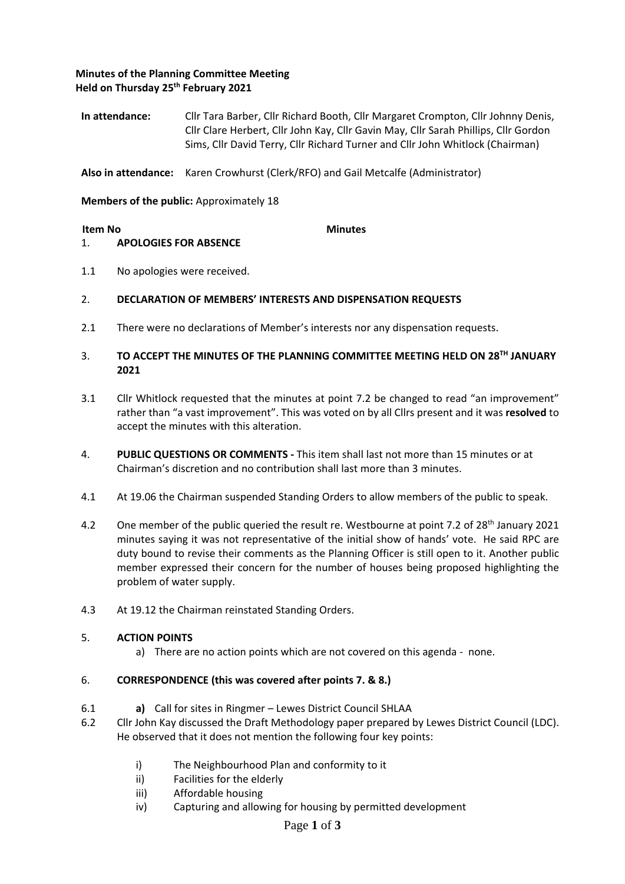## **Minutes of the Planning Committee Meeting Held on Thursday 25th February 2021**

**In attendance:** Cllr Tara Barber, Cllr Richard Booth, Cllr Margaret Crompton, Cllr Johnny Denis, Cllr Clare Herbert, Cllr John Kay, Cllr Gavin May, Cllr Sarah Phillips, Cllr Gordon Sims, Cllr David Terry, Cllr Richard Turner and Cllr John Whitlock (Chairman)

**Also in attendance:** Karen Crowhurst (Clerk/RFO) and Gail Metcalfe (Administrator)

**Members of the public:** Approximately 18

**Item No Minutes** 

## 1. **APOLOGIES FOR ABSENCE**

1.1 No apologies were received.

## 2. **DECLARATION OF MEMBERS' INTERESTS AND DISPENSATION REQUESTS**

2.1 There were no declarations of Member's interests nor any dispensation requests.

## 3. **TO ACCEPT THE MINUTES OF THE PLANNING COMMITTEE MEETING HELD ON 28 TH JANUARY 2021**

- 3.1 Cllr Whitlock requested that the minutes at point 7.2 be changed to read "an improvement" rather than "a vast improvement". This was voted on by all Cllrs present and it was **resolved** to accept the minutes with this alteration.
- 4. **PUBLIC QUESTIONS OR COMMENTS -** This item shall last not more than 15 minutes or at Chairman's discretion and no contribution shall last more than 3 minutes.
- 4.1 At 19.06 the Chairman suspended Standing Orders to allow members of the public to speak.
- 4.2 One member of the public queried the result re. Westbourne at point 7.2 of 28<sup>th</sup> January 2021 minutes saying it was not representative of the initial show of hands' vote. He said RPC are duty bound to revise their comments as the Planning Officer is still open to it. Another public member expressed their concern for the number of houses being proposed highlighting the problem of water supply.
- 4.3 At 19.12 the Chairman reinstated Standing Orders.

## 5. **ACTION POINTS**

a) There are no action points which are not covered on this agenda - none.

## 6. **CORRESPONDENCE (this was covered after points 7. & 8.)**

- 6.1 **a)** Call for sites in Ringmer Lewes District Council SHLAA
- 6.2 Cllr John Kay discussed the Draft Methodology paper prepared by Lewes District Council (LDC). He observed that it does not mention the following four key points:
	- i) The Neighbourhood Plan and conformity to it
	- ii) Facilities for the elderly
	- iii) Affordable housing
	- iv) Capturing and allowing for housing by permitted development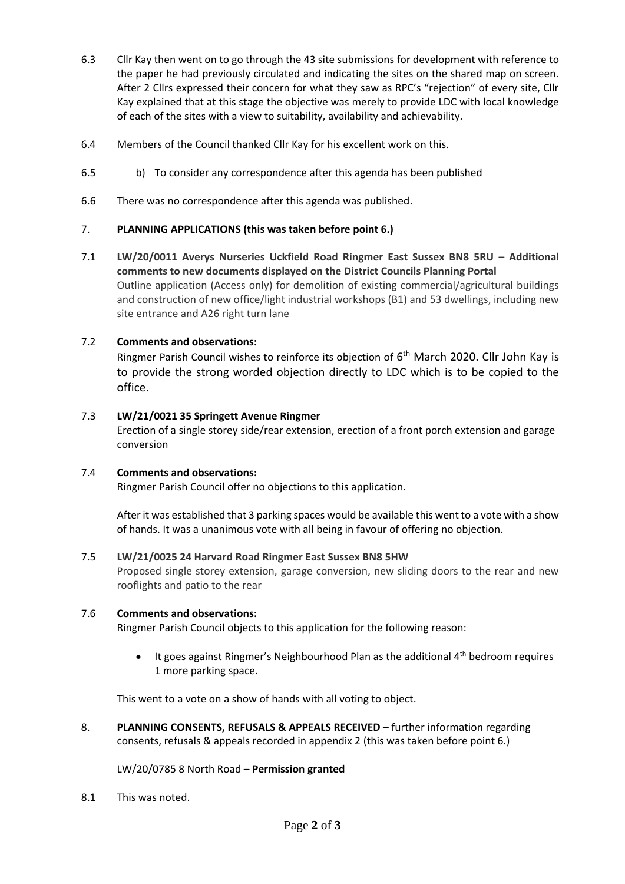- 6.3 Cllr Kay then went on to go through the 43 site submissions for development with reference to the paper he had previously circulated and indicating the sites on the shared map on screen. After 2 Cllrs expressed their concern for what they saw as RPC's "rejection" of every site, Cllr Kay explained that at this stage the objective was merely to provide LDC with local knowledge of each of the sites with a view to suitability, availability and achievability.
- 6.4 Members of the Council thanked Cllr Kay for his excellent work on this.
- 6.5 b) To consider any correspondence after this agenda has been published
- 6.6 There was no correspondence after this agenda was published.

# 7. **PLANNING APPLICATIONS (this was taken before point 6.)**

7.1 **LW/20/0011 Averys Nurseries Uckfield Road Ringmer East Sussex BN8 5RU – Additional comments to new documents displayed on the District Councils Planning Portal** Outline application (Access only) for demolition of existing commercial/agricultural buildings and construction of new office/light industrial workshops (B1) and 53 dwellings, including new site entrance and A26 right turn lane

# 7.2 **Comments and observations:**

Ringmer Parish Council wishes to reinforce its objection of 6<sup>th</sup> March 2020. Cllr John Kay is to provide the strong worded objection directly to LDC which is to be copied to the office.

## 7.3 **LW/21/0021 35 Springett Avenue Ringmer**

Erection of a single storey side/rear extension, erection of a front porch extension and garage conversion

## 7.4 **Comments and observations:**

Ringmer Parish Council offer no objections to this application.

After it was established that 3 parking spaces would be available this went to a vote with a show of hands. It was a unanimous vote with all being in favour of offering no objection.

#### 7.5 **LW/21/0025 24 Harvard Road Ringmer East Sussex BN8 5HW**

Proposed single storey extension, garage conversion, new sliding doors to the rear and new rooflights and patio to the rear

## 7.6 **Comments and observations:**

Ringmer Parish Council objects to this application for the following reason:

It goes against Ringmer's Neighbourhood Plan as the additional 4<sup>th</sup> bedroom requires 1 more parking space.

This went to a vote on a show of hands with all voting to object.

8. **PLANNING CONSENTS, REFUSALS & APPEALS RECEIVED –** further information regarding consents, refusals & appeals recorded in appendix 2 (this was taken before point 6.)

LW/20/0785 8 North Road – **Permission granted**

8.1 This was noted.